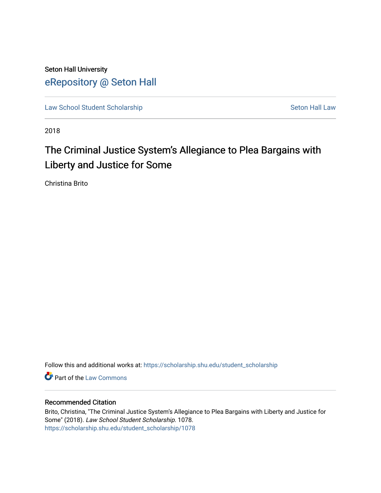Seton Hall University [eRepository @ Seton Hall](https://scholarship.shu.edu/)

[Law School Student Scholarship](https://scholarship.shu.edu/student_scholarship) Seton Hall Law

2018

# The Criminal Justice System's Allegiance to Plea Bargains with Liberty and Justice for Some

Christina Brito

Follow this and additional works at: [https://scholarship.shu.edu/student\\_scholarship](https://scholarship.shu.edu/student_scholarship?utm_source=scholarship.shu.edu%2Fstudent_scholarship%2F1078&utm_medium=PDF&utm_campaign=PDFCoverPages) 

**Part of the [Law Commons](http://network.bepress.com/hgg/discipline/578?utm_source=scholarship.shu.edu%2Fstudent_scholarship%2F1078&utm_medium=PDF&utm_campaign=PDFCoverPages)** 

### Recommended Citation

Brito, Christina, "The Criminal Justice System's Allegiance to Plea Bargains with Liberty and Justice for Some" (2018). Law School Student Scholarship. 1078. [https://scholarship.shu.edu/student\\_scholarship/1078](https://scholarship.shu.edu/student_scholarship/1078?utm_source=scholarship.shu.edu%2Fstudent_scholarship%2F1078&utm_medium=PDF&utm_campaign=PDFCoverPages)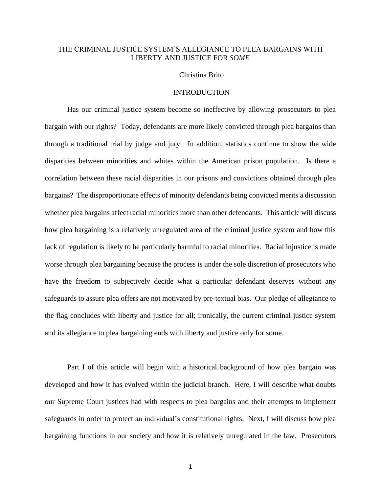# THE CRIMINAL JUSTICE SYSTEM'S ALLEGIANCE TO PLEA BARGAINS WITH LIBERTY AND JUSTICE FOR *SOME*

#### Christina Brito

# INTRODUCTION

Has our criminal justice system become so ineffective by allowing prosecutors to plea bargain with our rights? Today, defendants are more likely convicted through plea bargains than through a traditional trial by judge and jury. In addition, statistics continue to show the wide disparities between minorities and whites within the American prison population. Is there a correlation between these racial disparities in our prisons and convictions obtained through plea bargains? The disproportionate effects of minority defendants being convicted merits a discussion whether plea bargains affect racial minorities more than other defendants. This article will discuss how plea bargaining is a relatively unregulated area of the criminal justice system and how this lack of regulation is likely to be particularly harmful to racial minorities. Racial injustice is made worse through plea bargaining because the process is under the sole discretion of prosecutors who have the freedom to subjectively decide what a particular defendant deserves without any safeguards to assure plea offers are not motivated by pre-textual bias. Our pledge of allegiance to the flag concludes with liberty and justice for all; ironically, the current criminal justice system and its allegiance to plea bargaining ends with liberty and justice only for some.

Part I of this article will begin with a historical background of how plea bargain was developed and how it has evolved within the judicial branch. Here, I will describe what doubts our Supreme Court justices had with respects to plea bargains and their attempts to implement safeguards in order to protect an individual's constitutional rights. Next, I will discuss how plea bargaining functions in our society and how it is relatively unregulated in the law. Prosecutors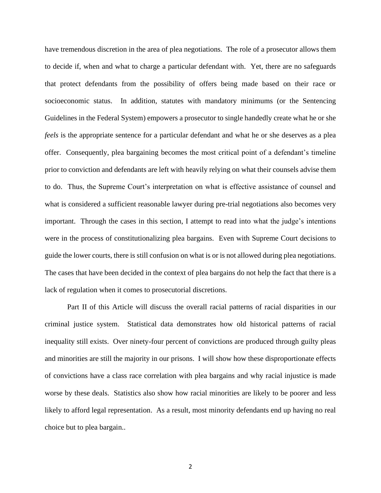have tremendous discretion in the area of plea negotiations. The role of a prosecutor allows them to decide if, when and what to charge a particular defendant with. Yet, there are no safeguards that protect defendants from the possibility of offers being made based on their race or socioeconomic status. In addition, statutes with mandatory minimums (or the Sentencing Guidelines in the Federal System) empowers a prosecutor to single handedly create what he or she *feels* is the appropriate sentence for a particular defendant and what he or she deserves as a plea offer. Consequently, plea bargaining becomes the most critical point of a defendant's timeline prior to conviction and defendants are left with heavily relying on what their counsels advise them to do. Thus, the Supreme Court's interpretation on what is effective assistance of counsel and what is considered a sufficient reasonable lawyer during pre-trial negotiations also becomes very important. Through the cases in this section, I attempt to read into what the judge's intentions were in the process of constitutionalizing plea bargains. Even with Supreme Court decisions to guide the lower courts, there is still confusion on what is or is not allowed during plea negotiations. The cases that have been decided in the context of plea bargains do not help the fact that there is a lack of regulation when it comes to prosecutorial discretions.

Part II of this Article will discuss the overall racial patterns of racial disparities in our criminal justice system. Statistical data demonstrates how old historical patterns of racial inequality still exists. Over ninety-four percent of convictions are produced through guilty pleas and minorities are still the majority in our prisons. I will show how these disproportionate effects of convictions have a class race correlation with plea bargains and why racial injustice is made worse by these deals. Statistics also show how racial minorities are likely to be poorer and less likely to afford legal representation. As a result, most minority defendants end up having no real choice but to plea bargain..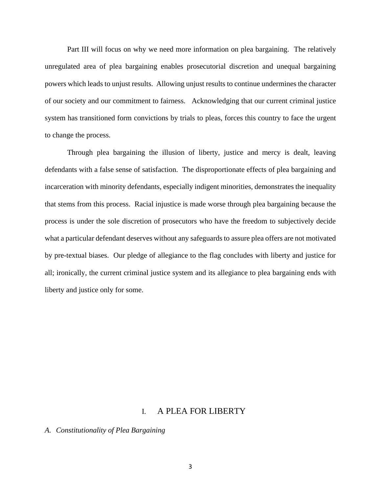Part III will focus on why we need more information on plea bargaining. The relatively unregulated area of plea bargaining enables prosecutorial discretion and unequal bargaining powers which leads to unjust results. Allowing unjust results to continue undermines the character of our society and our commitment to fairness. Acknowledging that our current criminal justice system has transitioned form convictions by trials to pleas, forces this country to face the urgent to change the process.

Through plea bargaining the illusion of liberty, justice and mercy is dealt, leaving defendants with a false sense of satisfaction. The disproportionate effects of plea bargaining and incarceration with minority defendants, especially indigent minorities, demonstrates the inequality that stems from this process. Racial injustice is made worse through plea bargaining because the process is under the sole discretion of prosecutors who have the freedom to subjectively decide what a particular defendant deserves without any safeguards to assure plea offers are not motivated by pre-textual biases. Our pledge of allegiance to the flag concludes with liberty and justice for all; ironically, the current criminal justice system and its allegiance to plea bargaining ends with liberty and justice only for some.

# I. A PLEA FOR LIBERTY

## *A. Constitutionality of Plea Bargaining*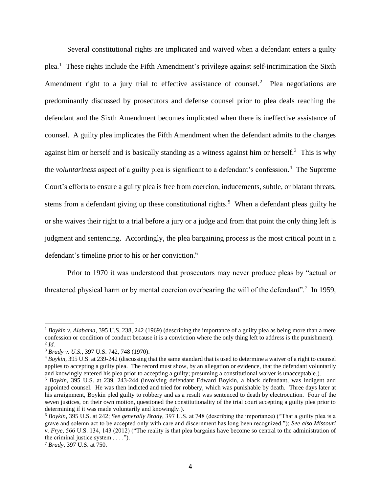Several constitutional rights are implicated and waived when a defendant enters a guilty plea.<sup>1</sup> These rights include the Fifth Amendment's privilege against self-incrimination the Sixth Amendment right to a jury trial to effective assistance of counsel.<sup>2</sup> Plea negotiations are predominantly discussed by prosecutors and defense counsel prior to plea deals reaching the defendant and the Sixth Amendment becomes implicated when there is ineffective assistance of counsel. A guilty plea implicates the Fifth Amendment when the defendant admits to the charges against him or herself and is basically standing as a witness against him or herself.<sup>3</sup> This is why the *voluntariness* aspect of a guilty plea is significant to a defendant's confession.<sup>4</sup> The Supreme Court's efforts to ensure a guilty plea is free from coercion, inducements, subtle, or blatant threats, stems from a defendant giving up these constitutional rights.<sup>5</sup> When a defendant pleas guilty he or she waives their right to a trial before a jury or a judge and from that point the only thing left is judgment and sentencing. Accordingly, the plea bargaining process is the most critical point in a defendant's timeline prior to his or her conviction. 6

Prior to 1970 it was understood that prosecutors may never produce pleas by "actual or threatened physical harm or by mental coercion overbearing the will of the defendant".<sup>7</sup> In 1959,

<sup>&</sup>lt;sup>1</sup> Boykin v. Alabama, 395 U.S. 238, 242 (1969) (describing the importance of a guilty plea as being more than a mere confession or condition of conduct because it is a conviction where the only thing left to address is the punishment). 2 *Id.*

<sup>3</sup> *Brady v. U.S.*, 397 U.S. 742, 748 (1970).

<sup>4</sup> *Boykin,* 395 U.S. at 239-242 (discussing that the same standard that is used to determine a waiver of a right to counsel applies to accepting a guilty plea. The record must show, by an allegation or evidence, that the defendant voluntarily and knowingly entered his plea prior to accepting a guilty; presuming a constitutional waiver is unacceptable.).

<sup>5</sup> *Boykin,* 395 U*.*S. at 239, 243-244 (involving defendant Edward Boykin, a black defendant, was indigent and appointed counsel. He was then indicted and tried for robbery, which was punishable by death. Three days later at his arraignment, Boykin pled guilty to robbery and as a result was sentenced to death by electrocution. Four of the seven justices, on their own motion, questioned the constitutionality of the trial court accepting a guilty plea prior to determining if it was made voluntarily and knowingly.).

<sup>6</sup> *Boykin*, 395 U.S. at 242; *See generally Brady,* 397 U.S. at 748 (describing the importance) ("That a guilty plea is a grave and solemn act to be accepted only with care and discernment has long been recognized."); *See also Missouri v. Frye,* 566 U.S. 134, 143 (2012) ("The reality is that plea bargains have become so central to the administration of the criminal justice system  $\dots$ .").

<sup>7</sup> *Brady,* 397 U.S. at 750.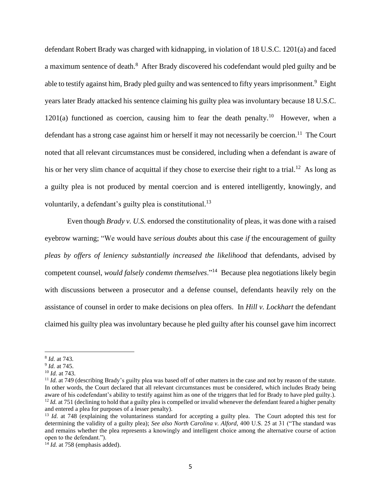defendant Robert Brady was charged with kidnapping, in violation of 18 U.S.C. 1201(a) and faced a maximum sentence of death.<sup>8</sup> After Brady discovered his codefendant would pled guilty and be able to testify against him, Brady pled guilty and was sentenced to fifty years imprisonment.<sup>9</sup> Eight years later Brady attacked his sentence claiming his guilty plea was involuntary because 18 U.S.C.  $1201(a)$  functioned as coercion, causing him to fear the death penalty.<sup>10</sup> However, when a defendant has a strong case against him or herself it may not necessarily be coercion.<sup>11</sup> The Court noted that all relevant circumstances must be considered, including when a defendant is aware of his or her very slim chance of acquittal if they chose to exercise their right to a trial.<sup>12</sup> As long as a guilty plea is not produced by mental coercion and is entered intelligently, knowingly, and voluntarily, a defendant's guilty plea is constitutional.<sup>13</sup>

Even though *Brady v. U.S.* endorsed the constitutionality of pleas, it was done with a raised eyebrow warning; "We would have *serious doubts* about this case *if* the encouragement of guilty *pleas by offers of leniency substantially increased the likelihood* that defendants, advised by competent counsel, *would falsely condemn themselves*."<sup>14</sup> Because plea negotiations likely begin with discussions between a prosecutor and a defense counsel, defendants heavily rely on the assistance of counsel in order to make decisions on plea offers. In *Hill v. Lockhart* the defendant claimed his guilty plea was involuntary because he pled guilty after his counsel gave him incorrect

<sup>8</sup> *Id.* at 743*.*

<sup>9</sup> *Id.* at 745.

<sup>10</sup> *Id.* at 743.

<sup>&</sup>lt;sup>11</sup> *Id.* at 749 (describing Brady's guilty plea was based off of other matters in the case and not by reason of the statute. In other words, the Court declared that all relevant circumstances must be considered, which includes Brady being aware of his codefendant's ability to testify against him as one of the triggers that led for Brady to have pled guilty.). <sup>12</sup> *Id.* at 751 (declining to hold that a guilty plea is compelled or invalid whenever the defendant feared a higher penalty and entered a plea for purposes of a lesser penalty).

<sup>&</sup>lt;sup>13</sup> *Id.* at 748 (explaining the voluntariness standard for accepting a guilty plea. The Court adopted this test for determining the validity of a guilty plea); *See also North Carolina v. Alford,* 400 U.S. 25 at 31 ("The standard was and remains whether the plea represents a knowingly and intelligent choice among the alternative course of action open to the defendant.").

 $^{14}$  *Id.* at 758 (emphasis added).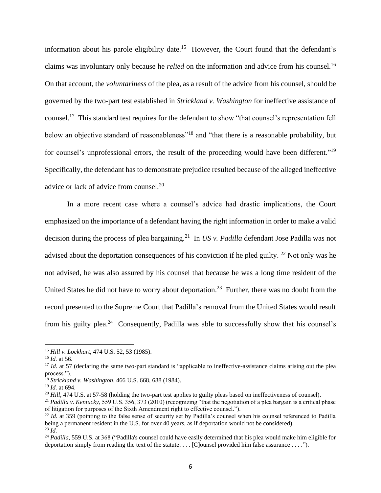information about his parole eligibility date.<sup>15</sup> However, the Court found that the defendant's claims was involuntary only because he *relied* on the information and advice from his counsel.<sup>16</sup> On that account, the *voluntariness* of the plea, as a result of the advice from his counsel, should be governed by the two-part test established in *Strickland v. Washington* for ineffective assistance of counsel.<sup>17</sup> This standard test requires for the defendant to show "that counsel's representation fell below an objective standard of reasonableness"<sup>18</sup> and "that there is a reasonable probability, but for counsel's unprofessional errors, the result of the proceeding would have been different."<sup>19</sup> Specifically, the defendant has to demonstrate prejudice resulted because of the alleged ineffective advice or lack of advice from counsel.<sup>20</sup>

In a more recent case where a counsel's advice had drastic implications, the Court emphasized on the importance of a defendant having the right information in order to make a valid decision during the process of plea bargaining.<sup>21</sup> In *US v. Padilla* defendant Jose Padilla was not advised about the deportation consequences of his conviction if he pled guilty.<sup>22</sup> Not only was he not advised, he was also assured by his counsel that because he was a long time resident of the United States he did not have to worry about deportation.<sup>23</sup> Further, there was no doubt from the record presented to the Supreme Court that Padilla's removal from the United States would result from his guilty plea.<sup>24</sup> Consequently, Padilla was able to successfully show that his counsel's

<sup>15</sup> *Hill v. Lockhart*, 474 U.S. 52, 53 (1985).

<sup>16</sup> *Id.* at 56.

<sup>&</sup>lt;sup>17</sup> *Id.* at 57 (declaring the same two-part standard is "applicable to ineffective-assistance claims arising out the plea process.").

<sup>18</sup> *Strickland v. Washington*, 466 U.S. 668, 688 (1984).

<sup>19</sup> *Id.* at 694.

<sup>&</sup>lt;sup>20</sup> *Hill,* 474 U.S. at 57-58 (holding the two-part test applies to guilty pleas based on ineffectiveness of counsel).

<sup>21</sup> *Padilla v. Kentucky*, 559 U.S. 356, 373 (2010) (recognizing "that the negotiation of a plea bargain is a critical phase of litigation for purposes of the Sixth Amendment right to effective counsel.").

<sup>&</sup>lt;sup>22</sup> Id. at 359 (pointing to the false sense of security set by Padilla's counsel when his counsel referenced to Padilla being a permanent resident in the U.S. for over 40 years, as if deportation would not be considered). <sup>23</sup> *Id.*

<sup>&</sup>lt;sup>24</sup> *Padilla*, 559 U.S. at 368 ("Padilla's counsel could have easily determined that his plea would make him eligible for deportation simply from reading the text of the statute. . . . [C]ounsel provided him false assurance . . . .").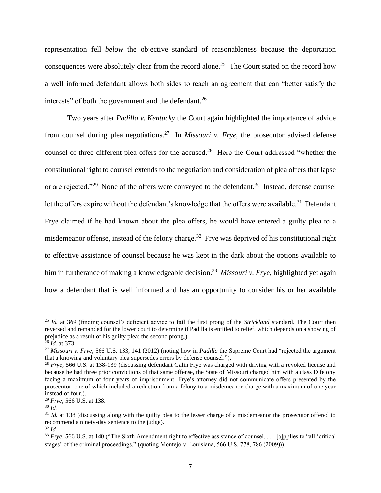representation fell *below* the objective standard of reasonableness because the deportation consequences were absolutely clear from the record alone.<sup>25</sup> The Court stated on the record how a well informed defendant allows both sides to reach an agreement that can "better satisfy the interests" of both the government and the defendant. $^{26}$ 

Two years after *Padilla v. Kentucky* the Court again highlighted the importance of advice from counsel during plea negotiations.<sup>27</sup> In *Missouri v. Frye*, the prosecutor advised defense counsel of three different plea offers for the accused.<sup>28</sup> Here the Court addressed "whether the constitutional right to counsel extends to the negotiation and consideration of plea offers that lapse or are rejected."<sup>29</sup> None of the offers were conveyed to the defendant.<sup>30</sup> Instead, defense counsel let the offers expire without the defendant's knowledge that the offers were available.<sup>31</sup> Defendant Frye claimed if he had known about the plea offers, he would have entered a guilty plea to a misdemeanor offense, instead of the felony charge.<sup>32</sup> Frye was deprived of his constitutional right to effective assistance of counsel because he was kept in the dark about the options available to him in furtherance of making a knowledgeable decision. <sup>33</sup> *Missouri v. Frye*, highlighted yet again how a defendant that is well informed and has an opportunity to consider his or her available

<sup>25</sup> *Id.* at 369 (finding counsel's deficient advice to fail the first prong of the *Strickland* standard. The Court then reversed and remanded for the lower court to determine if Padilla is entitled to relief, which depends on a showing of prejudice as a result of his guilty plea; the second prong.) .

<sup>26</sup> *Id*. at 373.

<sup>27</sup> *Missouri v. Frye,* 566 U.S. 133, 141 (2012) (noting how in *Padilla* the Supreme Court had "rejected the argument that a knowing and voluntary plea supersedes errors by defense counsel.").

<sup>28</sup> *Frye,* 566 U.S. at 138-139 (discussing defendant Galin Frye was charged with driving with a revoked license and because he had three prior convictions of that same offense, the State of Missouri charged him with a class D felony facing a maximum of four years of imprisonment. Frye's attorney did not communicate offers presented by the prosecutor, one of which included a reduction from a felony to a misdemeanor charge with a maximum of one year instead of four.).

<sup>29</sup> *Frye*, 566 U.S. at 138.

<sup>30</sup> *Id.*

<sup>&</sup>lt;sup>31</sup> *Id.* at 138 (discussing along with the guilty plea to the lesser charge of a misdemeanor the prosecutor offered to recommend a ninety-day sentence to the judge). <sup>32</sup> *Id.*

<sup>&</sup>lt;sup>33</sup> *Frye*, 566 U.S. at 140 ("The Sixth Amendment right to effective assistance of counsel... [a]pplies to "all 'critical stages' of the criminal proceedings." (quoting Montejo v. Louisiana, 566 U.S. 778, 786 (2009))).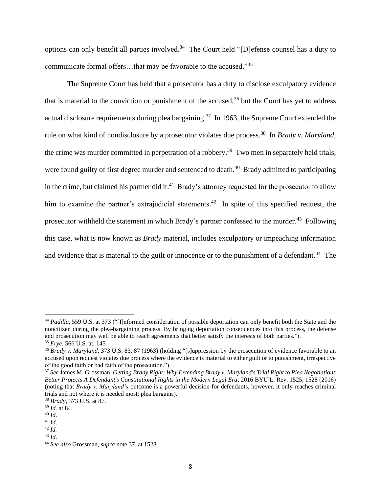options can only benefit all parties involved.<sup>34</sup> The Court held "[D]efense counsel has a duty to communicate formal offers…that may be favorable to the accused."<sup>35</sup>

The Supreme Court has held that a prosecutor has a duty to disclose exculpatory evidence that is material to the conviction or punishment of the accused, $36$  but the Court has yet to address actual disclosure requirements during plea bargaining.<sup>37</sup> In 1963, the Supreme Court extended the rule on what kind of nondisclosure by a prosecutor violates due process.<sup>38</sup> In *Brady v. Maryland*, the crime was murder committed in perpetration of a robbery.<sup>39</sup> Two men in separately held trials, were found guilty of first degree murder and sentenced to death.<sup>40</sup> Brady admitted to participating in the crime, but claimed his partner did it.<sup>41</sup> Brady's attorney requested for the prosecutor to allow him to examine the partner's extrajudicial statements.<sup>42</sup> In spite of this specified request, the prosecutor withheld the statement in which Brady's partner confessed to the murder.<sup>43</sup> Following this case, what is now known as *Brady* material, includes exculpatory or impeaching information and evidence that is material to the guilt or innocence or to the punishment of a defendant.<sup>44</sup> The

<sup>&</sup>lt;sup>34</sup> *Padilla*, 559 U.S. at 373 ("[I]nformed consideration of possible deportation can only benefit both the State and the noncitizen during the plea-bargaining process. By bringing deportation consequences into this process, the defense and prosecution may well be able to reach agreements that better satisfy the interests of both parties."). <sup>35</sup> *Frye,* 566 U.S. at*.* 145.

<sup>&</sup>lt;sup>36</sup> Brady v. Maryland, 373 U.S. 83, 87 (1963) (holding "[s]uppression by the prosecution of evidence favorable to an accused upon request violates due process where the evidence is material to either guilt or to punishment, irrespective of the good faith or bad faith of the prosecution.").

<sup>37</sup> *See* James M. Grossman, *Getting Brady Right: Why Extending Brady v. Maryland's Trial Right to Plea Negotiations Better Protects A Defendant's Constitutional Rights in the Modern Legal Era*, 2016 BYU L. Rev. 1525, 1528 (2016) (noting that *Brady v. Maryland's* outcome is a powerful decision for defendants, however, it only reaches criminal trials and not where it is needed most; plea bargains).

<sup>38</sup> *Brady*, 373 U.S. at 87.

<sup>39</sup> *Id.* at 84.

<sup>40</sup> *Id*.

<sup>41</sup> *Id*.

<sup>42</sup> *Id.*

<sup>43</sup> *Id*.

<sup>44</sup> *See also* Grossman, *supra* note 37, at 1528.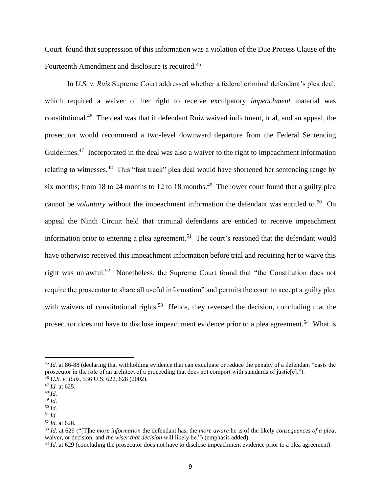Court found that suppression of this information was a violation of the Due Process Clause of the Fourteenth Amendment and disclosure is required.<sup>45</sup>

In *U.S. v. Ruiz* Supreme Court addressed whether a federal criminal defendant's plea deal, which required a waiver of her right to receive exculpatory *impeachment* material was constitutional.<sup>46</sup> The deal was that if defendant Ruiz waived indictment, trial, and an appeal, the prosecutor would recommend a two-level downward departure from the Federal Sentencing Guidelines.<sup>47</sup> Incorporated in the deal was also a waiver to the right to impeachment information relating to witnesses.<sup>48</sup> This "fast track" plea deal would have shortened her sentencing range by six months; from 18 to 24 months to 12 to 18 months.<sup>49</sup> The lower court found that a guilty plea cannot be *voluntary* without the impeachment information the defendant was entitled to.<sup>50</sup> On appeal the Ninth Circuit held that criminal defendants are entitled to receive impeachment information prior to entering a plea agreement.<sup>51</sup> The court's reasoned that the defendant would have otherwise received this impeachment information before trial and requiring her to waive this right was unlawful.<sup>52</sup> Nonetheless, the Supreme Court found that "the Constitution does not require the prosecutor to share all useful information" and permits the court to accept a guilty plea with waivers of constitutional rights.<sup>53</sup> Hence, they reversed the decision, concluding that the prosecutor does not have to disclose impeachment evidence prior to a plea agreement.<sup>54</sup> What is

<sup>&</sup>lt;sup>45</sup> *Id.* at 86-88 (declaring that withholding evidence that can exculpate or reduce the penalty of a defendant "casts the prosecutor in the role of an architect of a proceeding that does not comport with standards of justic[e]."). <sup>46</sup> *U.S. v. Ruiz,* 536 U.S. 622, 628 (2002).

<sup>47</sup> *Id.* at 625.

<sup>48</sup> *Id.*

<sup>49</sup> *Id.*

<sup>50</sup> *Id.*

<sup>51</sup> *Id.*

<sup>52</sup> *Id.* at 626.

<sup>53</sup> *Id.* at 629 ("[T]he *more information* the defendant has, the *more aware* he is of the likely *consequences of a plea*, waiver, or decision, and *the wiser that decision* will likely be.") (emphasis added).

<sup>54</sup> *Id.* at 629 (concluding the prosecutor does not have to disclose impeachment evidence prior to a plea agreement).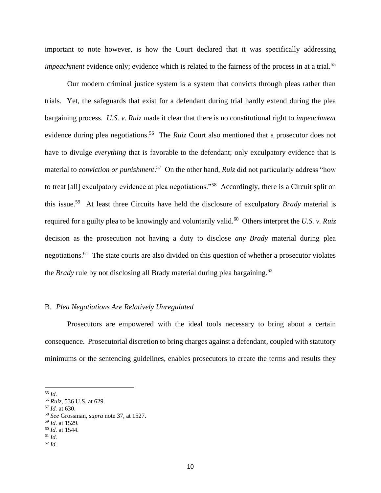important to note however, is how the Court declared that it was specifically addressing *impeachment* evidence only; evidence which is related to the fairness of the process in at a trial.<sup>55</sup>

Our modern criminal justice system is a system that convicts through pleas rather than trials. Yet, the safeguards that exist for a defendant during trial hardly extend during the plea bargaining process. *U.S. v. Ruiz* made it clear that there is no constitutional right to *impeachment*  evidence during plea negotiations.<sup>56</sup> The *Ruiz* Court also mentioned that a prosecutor does not have to divulge *everything* that is favorable to the defendant; only exculpatory evidence that is material to *conviction or punishment*. 57 On the other hand, *Ruiz* did not particularly address "how to treat [all] exculpatory evidence at plea negotiations."<sup>58</sup> Accordingly, there is a Circuit split on this issue.<sup>59</sup> At least three Circuits have held the disclosure of exculpatory *Brady* material is required for a guilty plea to be knowingly and voluntarily valid.<sup>60</sup> Others interpret the *U.S. v. Ruiz* decision as the prosecution not having a duty to disclose *any Brady* material during plea negotiations.<sup>61</sup> The state courts are also divided on this question of whether a prosecutor violates the *Brady* rule by not disclosing all Brady material during plea bargaining.<sup>62</sup>

#### B. *Plea Negotiations Are Relatively Unregulated*

Prosecutors are empowered with the ideal tools necessary to bring about a certain consequence. Prosecutorial discretion to bring charges against a defendant, coupled with statutory minimums or the sentencing guidelines, enables prosecutors to create the terms and results they

<sup>55</sup> *Id.*

<sup>56</sup> *Ruiz,* 536 U.S. at 629.

<sup>57</sup> *Id.* at 630.

<sup>58</sup> *See* Grossman, *supra* note 37, at 1527.

<sup>59</sup> *Id.* at 1529.

<sup>60</sup> *Id.* at 1544.

<sup>61</sup> *Id.*

<sup>62</sup> *Id.*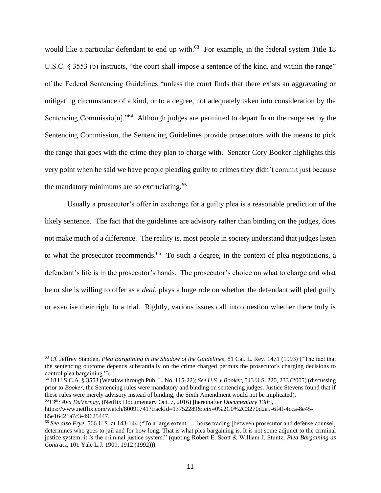would like a particular defendant to end up with.<sup>63</sup> For example, in the federal system Title 18 U.S.C. § 3553 (b) instructs, "the court shall impose a sentence of the kind, and within the range" of the Federal Sentencing Guidelines "unless the court finds that there exists an aggravating or mitigating circumstance of a kind, or to a degree, not adequately taken into consideration by the Sentencing Commissio[n]."<sup>64</sup> Although judges are permitted to depart from the range set by the Sentencing Commission, the Sentencing Guidelines provide prosecutors with the means to pick the range that goes with the crime they plan to charge with. Senator Cory Booker highlights this very point when he said we have people pleading guilty to crimes they didn't commit just because the mandatory minimums are so excruciating.<sup>65</sup>

Usually a prosecutor's offer in exchange for a guilty plea is a reasonable prediction of the likely sentence. The fact that the guidelines are advisory rather than binding on the judges, does not make much of a difference. The reality is, most people in society understand that judges listen to what the prosecutor recommends.<sup>66</sup> To such a degree, in the context of plea negotiations, a defendant's life is in the prosecutor's hands. The prosecutor's choice on what to charge and what he or she is willing to offer as a *deal*, plays a huge role on whether the defendant will pled guilty or exercise their right to a trial. Rightly, various issues call into question whether there truly is

<sup>63</sup> *Cf.* Jeffrey Standen, *Plea Bargaining in the Shadow of the Guidelines*, 81 Cal. L. Rev. 1471 (1993) ("The fact that the sentencing outcome depends substantially on the crime charged permits the prosecutor's charging decisions to control plea bargaining.").

<sup>64</sup> 18 U.S.C.A. § 3553 (Westlaw through Pub. L. No. 115-22); *See U.S. v Booker*, 543 U.S. 220, 233 (2005) (discussing prior to *Booker*, the Sentencing rules were mandatory and binding on sentencing judges. Justice Stevens found that if these rules were merely advisory instead of binding, the Sixth Amendment would not be implicated).

<sup>65</sup>*13th: Ava DuVernay*, (Netflix Documentary Oct. 7, 2016) [hereinafter *Documentary 13th*],

[https://www.netflix.com/watch/80091741?trackId=13752289&tctx=0%2C0%2C3270d2a9-6f4f-4cca-8e45-](https://www.netflix.com/watch/80091741?trackId=13752289&tctx=0%2C0%2C3270d2a9-6f4f-4cca-8e45-85e16421a7c3-49625447) [85e16421a7c3-49625447.](https://www.netflix.com/watch/80091741?trackId=13752289&tctx=0%2C0%2C3270d2a9-6f4f-4cca-8e45-85e16421a7c3-49625447)

<sup>66</sup> *See also Frye,* 566 U.S. at 143-144 ("To a large extent . . . horse trading [between prosecutor and defense counsel] determines who goes to jail and for how long. That is what plea bargaining is. It is not some adjunct to the criminal justice system; it *is* the criminal justice system." (quoting Robert E. Scott & William J. Stuntz, *Plea Bargaining as Contract*, 101 Yale L.J. 1909, 1912 (1992))).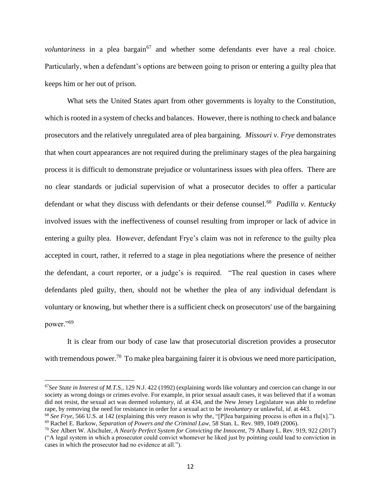*voluntariness* in a plea bargain<sup>67</sup> and whether some defendants ever have a real choice. Particularly, when a defendant's options are between going to prison or entering a guilty plea that keeps him or her out of prison.

What sets the United States apart from other governments is loyalty to the Constitution, which is rooted in a system of checks and balances. However, there is nothing to check and balance prosecutors and the relatively unregulated area of plea bargaining. *Missouri v. Frye* demonstrates that when court appearances are not required during the preliminary stages of the plea bargaining process it is difficult to demonstrate prejudice or voluntariness issues with plea offers. There are no clear standards or judicial supervision of what a prosecutor decides to offer a particular defendant or what they discuss with defendants or their defense counsel.<sup>68</sup> *Padilla v. Kentucky* involved issues with the ineffectiveness of counsel resulting from improper or lack of advice in entering a guilty plea. However, defendant Frye's claim was not in reference to the guilty plea accepted in court, rather, it referred to a stage in plea negotiations where the presence of neither the defendant, a court reporter, or a judge's is required. "The real question in cases where defendants pled guilty, then, should not be whether the plea of any individual defendant is voluntary or knowing, but whether there is a sufficient check on prosecutors' use of the bargaining power."<sup>69</sup>

It is clear from our body of case law that prosecutorial discretion provides a prosecutor with tremendous power.<sup>70</sup> To make plea bargaining fairer it is obvious we need more participation,

<sup>67</sup>*See State in Interest of M.T.S.,* 129 N.J. 422 (1992) (explaining words like voluntary and coercion can change in our society as wrong doings or crimes evolve. For example, in prior sexual assault cases, it was believed that if a woman did not resist, the sexual act was deemed *voluntary*, *id.* at 434, and the New Jersey Legislature was able to redefine rape, by removing the need for resistance in order for a sexual act to be *involuntary* or unlawful, *id.* at 443.

<sup>68</sup> *See Frye*, 566 U.S. at 142 (explaining this very reason is why the, "[P]lea bargaining process is often in a flu[x]."). <sup>69</sup> Rachel E. Barkow, *Separation of Powers and the Criminal Law*, 58 Stan. L. Rev. 989, 1049 (2006).

<sup>70</sup> *See* Albert W. Alschuler, *A Nearly Perfect System for Convicting the Innocent*, [79 Albany L. Rev. 919, 922](https://papers.ssrn.com/sol3/papers.cfm?abstract_id=2911206##) (2017) ("A legal system in which a prosecutor could convict whomever he liked just by pointing could lead to conviction in cases in which the prosecutor had no evidence at all.").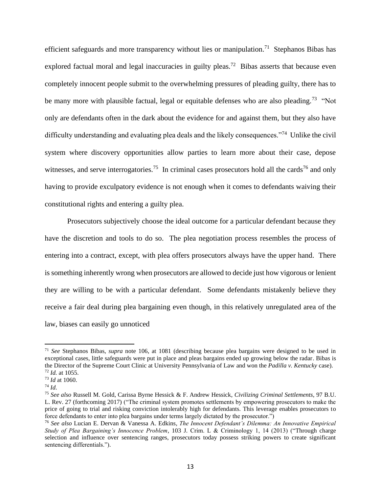efficient safeguards and more transparency without lies or manipulation.<sup>71</sup> Stephanos Bibas has explored factual moral and legal inaccuracies in guilty pleas.<sup>72</sup> Bibas asserts that because even completely innocent people submit to the overwhelming pressures of pleading guilty, there has to be many more with plausible factual, legal or equitable defenses who are also pleading.<sup>73</sup> "Not only are defendants often in the dark about the evidence for and against them, but they also have difficulty understanding and evaluating plea deals and the likely consequences."<sup>74</sup> Unlike the civil system where discovery opportunities allow parties to learn more about their case, depose witnesses, and serve interrogatories.<sup>75</sup> In criminal cases prosecutors hold all the cards<sup>76</sup> and only having to provide exculpatory evidence is not enough when it comes to defendants waiving their constitutional rights and entering a guilty plea.

Prosecutors subjectively choose the ideal outcome for a particular defendant because they have the discretion and tools to do so. The plea negotiation process resembles the process of entering into a contract, except, with plea offers prosecutors always have the upper hand. There is something inherently wrong when prosecutors are allowed to decide just how vigorous or lenient they are willing to be with a particular defendant. Some defendants mistakenly believe they receive a fair deal during plea bargaining even though, in this relatively unregulated area of the law, biases can easily go unnoticed

<sup>71</sup> *See* Stephanos Bibas, *supra* note 106, at 1081 (describing because plea bargains were designed to be used in exceptional cases, little safeguards were put in place and pleas bargains ended up growing below the radar. Bibas is the Director of the Supreme Court Clinic at University Pennsylvania of Law and won the *Padilla v. Kentucky* case). <sup>72</sup> *Id.* at 1055.

<sup>73</sup> *Id* at 1060.

<sup>74</sup> *Id*.

<sup>75</sup> *See also* Russell M. Gold, Carissa Byrne Hessick & F. Andrew Hessick, *Civilizing Criminal Settlements*, 97 B.U. L. Rev. 27 (forthcoming 2017) ("The criminal system promotes settlements by empowering prosecutors to make the price of going to trial and risking conviction intolerably high for defendants. This leverage enables prosecutors to force defendants to enter into plea bargains under terms largely dictated by the prosecutor.")

<sup>76</sup> *See also* Lucian E. Dervan & Vanessa A. Edkins, *The Innocent Defendant's Dilemma: An Innovative Empirical Study of Plea Bargaining's Innocence Problem*, 103 J. Crim. L & Criminology 1, 14 (2013) ("Through charge selection and influence over sentencing ranges, prosecutors today possess striking powers to create significant sentencing differentials.").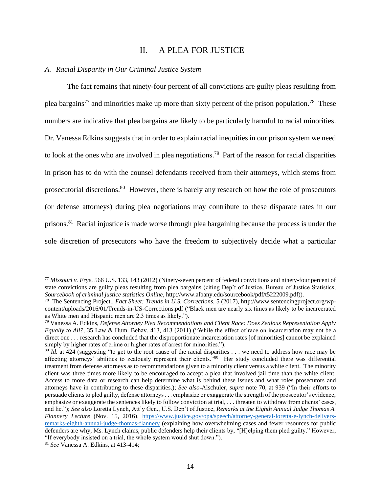# II. A PLEA FOR JUSTICE

# *A. Racial Disparity in Our Criminal Justice System*

The fact remains that ninety-four percent of all convictions are guilty pleas resulting from plea bargains<sup>77</sup> and minorities make up more than sixty percent of the prison population.<sup>78</sup> These numbers are indicative that plea bargains are likely to be particularly harmful to racial minorities. Dr. Vanessa Edkins suggests that in order to explain racial inequities in our prison system we need to look at the ones who are involved in plea negotiations.<sup>79</sup> Part of the reason for racial disparities in prison has to do with the counsel defendants received from their attorneys, which stems from prosecutorial discretions.<sup>80</sup> However, there is barely any research on how the role of prosecutors (or defense attorneys) during plea negotiations may contribute to these disparate rates in our prisons.<sup>81</sup> Racial injustice is made worse through plea bargaining because the process is under the sole discretion of prosecutors who have the freedom to subjectively decide what a particular

<sup>77</sup> *Missouri v. Frye,* 566 U.S. 133, 143 (2012) (Ninety-seven percent of federal convictions and ninety-four percent of state convictions are guilty pleas resulting from plea bargains (citing Dep't of Justice, Bureau of Justice Statistics, *Sourcebook of criminal justice statistics Online*, http://www.albany.edu/sourcebook/pdf/t5222009.pdf)).

<sup>78</sup> The Sentencing Project., *Fact Sheet: Trends in U.S. Corrections,* 5 (2017), [http://www.sentencingproject.org/wp](http://www.sentencingproject.org/wp-content/uploads/2016/01/Trends-in-US-Corrections.pdf)[content/uploads/2016/01/Trends-in-US-Corrections.pdf](http://www.sentencingproject.org/wp-content/uploads/2016/01/Trends-in-US-Corrections.pdf) ("Black men are nearly six times as likely to be incarcerated as White men and Hispanic men are 2.3 times as likely.").

<sup>79</sup> Vanessa A. Edkins, *Defense Attorney Plea Recommendations and Client Race: Does Zealous Representation Apply Equally to All?,* 35 Law & Hum. Behav. 413, 413 (2011) ("While the effect of race on incarceration may not be a direct one . . . research has concluded that the disproportionate incarceration rates [of minorities] cannot be explained simply by higher rates of crime or higher rates of arrest for minorities.").

<sup>&</sup>lt;sup>80</sup> *Id.* at 424 (suggesting "to get to the root cause of the racial disparities . . . we need to address how race may be affecting attorneys' abilities to zealously represent their clients."<sup>80</sup> Her study concluded there was differential treatment from defense attorneys as to recommendations given to a minority client versus a white client. The minority client was three times more likely to be encouraged to accept a plea that involved jail time than the white client. Access to more data or research can help determine what is behind these issues and what roles prosecutors and attorneys have in contributing to these disparities.); *See also* Alschuler, *supra* note 70, at 939 ("In their efforts to persuade clients to pled guilty, defense attorneys . . . emphasize or exaggerate the strength of the prosecutor's evidence, emphasize or exaggerate the sentences likely to follow conviction at trial, . . . threaten to withdraw from clients' cases, and lie."); *See also* Loretta Lynch, Att'y Gen., U.S. Dep't of Justice, *Remarks at the Eighth Annual Judge Thomas A. Flannery Lecture* (Nov. 15, 2016), [https://www.justice.gov/opa/speech/attorney-general-loretta-e-lynch-delivers](https://www.justice.gov/opa/speech/attorney-general-loretta-e-lynch-delivers-remarks-eighth-annual-judge-thomas-flannery)[remarks-eighth-annual-judge-thomas-flannery](https://www.justice.gov/opa/speech/attorney-general-loretta-e-lynch-delivers-remarks-eighth-annual-judge-thomas-flannery) (explaining how overwhelming cases and fewer resources for public defenders are why, Ms. Lynch claims, public defenders help their clients by, "[H]elping them pled guilty." However, "If everybody insisted on a trial, the whole system would shut down.").

<sup>81</sup> *See* Vanessa A. Edkins, at 413-414;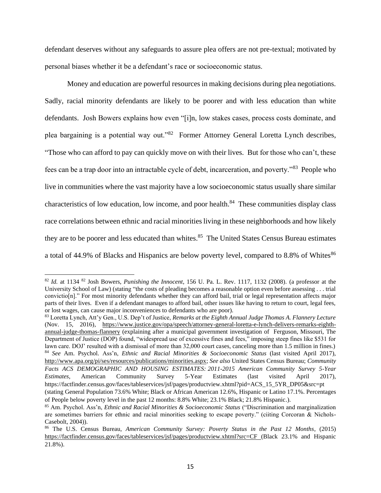defendant deserves without any safeguards to assure plea offers are not pre-textual; motivated by personal biases whether it be a defendant's race or socioeconomic status.

Money and education are powerful resources in making decisions during plea negotiations. Sadly, racial minority defendants are likely to be poorer and with less education than white defendants. Josh Bowers explains how even "[i]n, low stakes cases, process costs dominate, and plea bargaining is a potential way out."<sup>82</sup> Former Attorney General Loretta Lynch describes, "Those who can afford to pay can quickly move on with their lives. But for those who can't, these fees can be a trap door into an intractable cycle of debt, incarceration, and poverty."<sup>83</sup> People who live in communities where the vast majority have a low socioeconomic status usually share similar characteristics of low education, low income, and poor health.<sup>84</sup> These communities display class race correlations between ethnic and racial minorities living in these neighborhoods and how likely they are to be poorer and less educated than whites.<sup>85</sup> The United States Census Bureau estimates a total of 44.9% of Blacks and Hispanics are below poverty level, compared to 8.8% of Whites $86$ 

<sup>82</sup> *Id.* at 1134 <sup>82</sup> Josh Bowers, *Punishing the Innocent*, 156 U. Pa. L. Rev. 1117, 1132 (2008). (a professor at the University School of Law) (stating "the costs of pleading becomes a reasonable option even before assessing . . . trial convictio[n]." For most minority defendants whether they can afford bail, trial or legal representation affects major parts of their lives. Even if a defendant manages to afford bail, other issues like having to return to court, legal fees, or lost wages, can cause major inconveniences to defendants who are poor).

<sup>83</sup> Loretta Lynch, Att'y Gen., U.S. Dep't of Justice, *Remarks at the Eighth Annual Judge Thomas A. Flannery Lecture* (Nov. 15, 2016), [https://www.justice.gov/opa/speech/attorney-general-loretta-e-lynch-delivers-remarks-eighth](https://www.justice.gov/opa/speech/attorney-general-loretta-e-lynch-delivers-remarks-eighth-annual-judge-thomas-flannery)[annual-judge-thomas-flannery](https://www.justice.gov/opa/speech/attorney-general-loretta-e-lynch-delivers-remarks-eighth-annual-judge-thomas-flannery) (explaining after a municipal government investigation of Ferguson, Missouri, The Department of Justice (DOP) found, "widespread use of excessive fines and fees," imposing steep fines like \$531 for lawn care. DOJ' resulted with a dismissal of more than 32,000 court cases, canceling more than 1.5 million in fines.) <sup>84</sup> *See* Am. Psychol. Ass'n, *Ethnic and Racial Minorities & Socioeconomic Status* (last visited April 2017), [http://www.apa.org/pi/ses/resources/publications/minorities.aspx;](http://www.apa.org/pi/ses/resources/publications/minorities.aspx) *See also* United States Census Bureau; *Community Facts ACS DEMOGRAPHIC AND HOUSING ESTIMATES: 2011-2015 American Community Survey 5-Year Estimates*, American Community Survey 5-Year Estimates (last visited April 2017), https://factfinder.census.gov/faces/tableservices/jsf/pages/productview.xhtml?pid=ACS\_15\_5YR\_DP05&src=pt (stating General Population 73.6% White; Black or African American 12.6%, Hispanic or Latino 17.1%. Percentages

of People below poverty level in the past 12 months: 8.8% White; 23.1% Black; 21.8% Hispanic.).

<sup>85</sup> Am. Psychol. Ass'n, *Ethnic and Racial Minorities & Socioeconomic Status* ("Discrimination and marginalization are sometimes barriers for ethnic and racial minorities seeking to escape poverty." (ciiting Corcoran & Nichols-Casebolt, 2004)).

<sup>86</sup> The U.S. Census Bureau, *American Community Survey: Poverty Status in the Past 12 Months*, (2015) <https://factfinder.census.gov/faces/tableservices/jsf/pages/productview.xhtml?src=CF> (Black 23.1% and Hispanic 21.8%).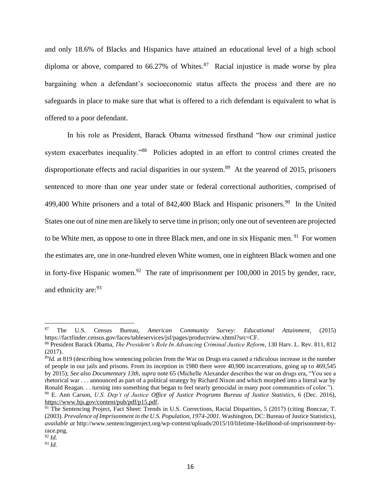and only 18.6% of Blacks and Hispanics have attained an educational level of a high school diploma or above, compared to  $66.27\%$  of Whites.<sup>87</sup> Racial injustice is made worse by plea bargaining when a defendant's socioeconomic status affects the process and there are no safeguards in place to make sure that what is offered to a rich defendant is equivalent to what is offered to a poor defendant.

In his role as President, Barack Obama witnessed firsthand "how our criminal justice system exacerbates inequality."<sup>88</sup> Policies adopted in an effort to control crimes created the disproportionate effects and racial disparities in our system.<sup>89</sup> At the yearend of 2015, prisoners sentenced to more than one year under state or federal correctional authorities, comprised of 499,400 White prisoners and a total of 842,400 Black and Hispanic prisoners.<sup>90</sup> In the United States one out of nine men are likely to serve time in prison; only one out of seventeen are projected to be White men, as oppose to one in three Black men, and one in six Hispanic men.<sup>91</sup> For women the estimates are, one in one-hundred eleven White women, one in eighteen Black women and one in forty-five Hispanic women.<sup>92</sup> The rate of imprisonment per  $100,000$  in 2015 by gender, race, and ethnicity are:<sup>93</sup>

<sup>87</sup> The U.S. Census Bureau, *American Community Survey: Educational Attainment*, (2015) https://factfinder.census.gov/faces/tableservices/jsf/pages/productview.xhtml?src=CF.

<sup>88</sup> President Barack Obama, *The President's Role In Advancing Criminal Justice Reform*, 130 Harv. L. Rev. 811, 812 (2017).

<sup>89</sup>*Id.* at 819 (describing how sentencing policies from the War on Drugs era caused a ridiculous increase in the number of people in our jails and prisons. From its inception in 1980 there were 40,900 incarcerations, going up to 469,545 by 2015); *See also Documentary 13th, supra* note 65 (Michelle Alexander describes the war on drugs era, "You see a rhetorical war . . . announced as part of a political strategy by Richard Nixon and which morphed into a literal war by Ronald Reagan. . . turning into something that began to feel nearly genocidal in many poor communities of color.").

<sup>90</sup> E. Ann Carson, *U.S. Dep't of Justice Office of Justice Programs Bureau of Justice Statistics*, 6 (Dec. 2016), [https://www.bjs.gov/content/pub/pdf/p15.pdf.](https://www.bjs.gov/content/pub/pdf/p15.pdf)

<sup>&</sup>lt;sup>91</sup> The Sentencing Project, Fact Sheet: Trends in U.S. Corrections, Racial Disparities, 5 (2017) (citing Bonczar, T. (2003). *Prevalence of Imprisonment in the U.S. Population, 1974-2001.* Washington, DC: Bureau of Justice Statistics), *available at* http://www.sentencingproject.org/wp-content/uploads/2015/10/lifetime-likelihood-of-imprisonment-byrace.png.

<sup>92</sup> *Id.*

<sup>93</sup> *Id.*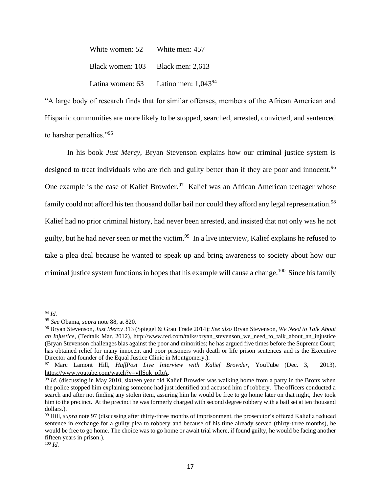| White women: 52                   | White men: 457                                   |
|-----------------------------------|--------------------------------------------------|
| Black women: 103 Black men: 2,613 |                                                  |
|                                   | Latina women: 63 Latino men: 1,043 <sup>94</sup> |

"A large body of research finds that for similar offenses, members of the African American and Hispanic communities are more likely to be stopped, searched, arrested, convicted, and sentenced to harsher penalties."<sup>95</sup>

In his book *Just Mercy*, Bryan Stevenson explains how our criminal justice system is designed to treat individuals who are rich and guilty better than if they are poor and innocent.<sup>96</sup> One example is the case of Kalief Browder.<sup>97</sup> Kalief was an African American teenager whose family could not afford his ten thousand dollar bail nor could they afford any legal representation.<sup>98</sup> Kalief had no prior criminal history, had never been arrested, and insisted that not only was he not guilty, but he had never seen or met the victim.<sup>99</sup> In a live interview, Kalief explains he refused to take a plea deal because he wanted to speak up and bring awareness to society about how our criminal justice system functions in hopes that his example will cause a change.<sup>100</sup> Since his family

<sup>94</sup> *Id.*

<sup>95</sup> *See* Obama, *supra* note 88, at 820.

<sup>96</sup> Bryan Stevenson, *Just Mercy* 313 (Spiegel & Grau Trade 2014); *See also* Bryan Stevenson, *We Need to Talk About an Injustice*, (Tedtalk Mar. 2012), [http://www.ted.com/talks/bryan\\_stevenson\\_we\\_need\\_to\\_talk\\_about\\_an\\_injustice](http://www.ted.com/talks/bryan_stevenson_we_need_to_talk_about_an_injustice) (Bryan Stevenson challenges bias against the poor and minorities; he has argued five times before the Supreme Court; has obtained relief for many innocent and poor prisoners with death or life prison sentences and is the Executive Director and founder of the Equal Justice Clinic in Montgomery.).

<sup>97</sup> Marc Lamont Hill, *HuffPost Live Interview with Kalief Browder*, YouTube (Dec. 3, 2013), [https://www.youtube.com/watch?v=yIlSqk\\_pfbA.](https://www.youtube.com/watch?v=yIlSqk_pfbA)

<sup>&</sup>lt;sup>98</sup> *Id.* (discussing in May 2010, sixteen year old Kalief Browder was walking home from a party in the Bronx when the police stopped him explaining someone had just identified and accused him of robbery. The officers conducted a search and after not finding any stolen item, assuring him he would be free to go home later on that night, they took him to the precinct. At the precinct he was formerly charged with second degree robbery with a bail set at ten thousand dollars.).

<sup>99</sup> Hill, *supra* note 97 (discussing after thirty-three months of imprisonment, the prosecutor's offered Kalief a reduced sentence in exchange for a guilty plea to robbery and because of his time already served (thirty-three months), he would be free to go home. The choice was to go home or await trial where, if found guilty, he would be facing another fifteen years in prison.).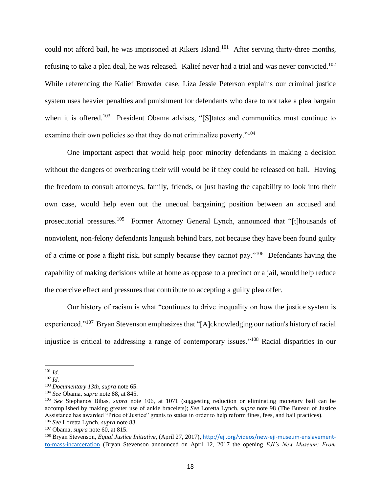could not afford bail, he was imprisoned at Rikers Island.<sup>101</sup> After serving thirty-three months, refusing to take a plea deal, he was released. Kalief never had a trial and was never convicted.<sup>102</sup> While referencing the Kalief Browder case, Liza Jessie Peterson explains our criminal justice system uses heavier penalties and punishment for defendants who dare to not take a plea bargain when it is offered.<sup>103</sup> President Obama advises, "[S]tates and communities must continue to examine their own policies so that they do not criminalize poverty."<sup>104</sup>

One important aspect that would help poor minority defendants in making a decision without the dangers of overbearing their will would be if they could be released on bail. Having the freedom to consult attorneys, family, friends, or just having the capability to look into their own case, would help even out the unequal bargaining position between an accused and prosecutorial pressures.<sup>105</sup> Former Attorney General Lynch, announced that "[t]housands of nonviolent, non-felony defendants languish behind bars, not because they have been found guilty of a crime or pose a flight risk, but simply because they cannot pay."<sup>106</sup> Defendants having the capability of making decisions while at home as oppose to a precinct or a jail, would help reduce the coercive effect and pressures that contribute to accepting a guilty plea offer.

Our history of racism is what "continues to drive inequality on how the justice system is experienced."<sup>107</sup> Bryan Stevenson emphasizes that "[A]cknowledging our nation's history of racial injustice is critical to addressing a range of contemporary issues."<sup>108</sup> Racial disparities in our

<sup>101</sup> *Id.*

<sup>102</sup> *Id.*

<sup>103</sup> *Documentary 13th, supra* note 65.

<sup>104</sup> *See* Obama, *supra* note 88, at 845.

<sup>105</sup> *See* Stephanos Bibas, *supra* note 106, at 1071 (suggesting reduction or eliminating monetary bail can be accomplished by making greater use of ankle bracelets); *See* Loretta Lynch, *supra* note 98 (The Bureau of Justice Assistance has awarded "Price of Justice" grants to states in order to help reform fines, fees, and bail practices). <sup>106</sup> *See* Loretta Lynch, *supra* note 83.

<sup>107</sup> Obama, *supra* note 60, at 815.

<sup>108</sup> Bryan Stevenson, *Equal Justice Initiative*, (April 27, 2017), [http://eji.org/videos/new-eji-museum-enslavement](http://eji.org/videos/new-eji-museum-enslavement-to-mass-incarceration)[to-mass-incarceration](http://eji.org/videos/new-eji-museum-enslavement-to-mass-incarceration) (Bryan Stevenson announced on April 12, 2017 the opening *EJI's New Museum: From*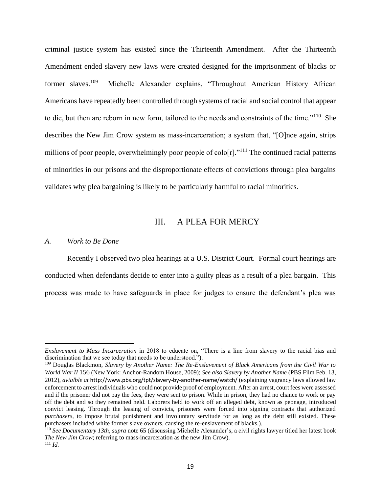criminal justice system has existed since the Thirteenth Amendment. After the Thirteenth Amendment ended slavery new laws were created designed for the imprisonment of blacks or former slaves.<sup>109</sup> Michelle Alexander explains, "Throughout American History African Americans have repeatedly been controlled through systems of racial and social control that appear to die, but then are reborn in new form, tailored to the needs and constraints of the time."<sup>110</sup> She describes the New Jim Crow system as mass-incarceration; a system that, "[O]nce again, strips millions of poor people, overwhelmingly poor people of  $\text{colo}[r]$ ."<sup>111</sup> The continued racial patterns of minorities in our prisons and the disproportionate effects of convictions through plea bargains validates why plea bargaining is likely to be particularly harmful to racial minorities.

# III. A PLEA FOR MERCY

#### *A. Work to Be Done*

Recently I observed two plea hearings at a U.S. District Court. Formal court hearings are conducted when defendants decide to enter into a guilty pleas as a result of a plea bargain. This process was made to have safeguards in place for judges to ensure the defendant's plea was

*Enslavement to Mass Incarceration* in 2018 to educate on, "There is a line from slavery to the racial bias and discrimination that we see today that needs to be understood.").

<sup>109</sup> Douglas Blackmon, *Slavery by Another Name: The Re-Enslavement of Black Americans from the Civil War to World War II* 156 (New York: Anchor-Random House, 2009); *See also Slavery by Another Name* (PBS Film Feb. 13, 2012), *avialble at* <http://www.pbs.org/tpt/slavery-by-another-name/watch/> (explaining vagrancy laws allowed law enforcement to arrest individuals who could not provide proof of employment. After an arrest, court fees were assessed and if the prisoner did not pay the fees, they were sent to prison. While in prison, they had no chance to work or pay off the debt and so they remained held. Laborers held to work off an alleged debt, known as peonage, introduced convict leasing. Through the leasing of convicts, prisoners were forced into signing contracts that authorized *purchasers,* to impose brutal punishment and involuntary servitude for as long as the debt still existed. These purchasers included white former slave owners, causing the re-enslavement of blacks.).

<sup>110</sup> *See Documentary 13th, supra* note 65 (discussing Michelle Alexander's, a civil rights lawyer titled her latest book *The New Jim Crow*; referring to mass-incarceration as the new Jim Crow). <sup>111</sup> *Id.*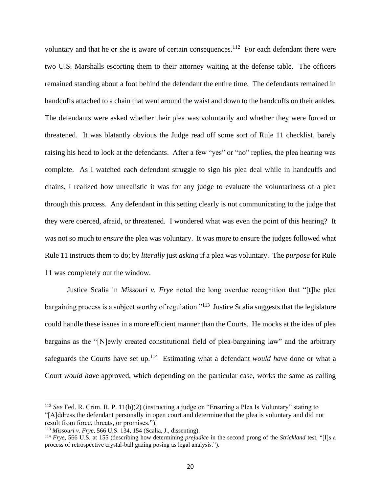voluntary and that he or she is aware of certain consequences.<sup>112</sup> For each defendant there were two U.S. Marshalls escorting them to their attorney waiting at the defense table. The officers remained standing about a foot behind the defendant the entire time. The defendants remained in handcuffs attached to a chain that went around the waist and down to the handcuffs on their ankles. The defendants were asked whether their plea was voluntarily and whether they were forced or threatened. It was blatantly obvious the Judge read off some sort of Rule 11 checklist, barely raising his head to look at the defendants. After a few "yes" or "no" replies, the plea hearing was complete. As I watched each defendant struggle to sign his plea deal while in handcuffs and chains, I realized how unrealistic it was for any judge to evaluate the voluntariness of a plea through this process. Any defendant in this setting clearly is not communicating to the judge that they were coerced, afraid, or threatened. I wondered what was even the point of this hearing? It was not so much to *ensure* the plea was voluntary. It was more to ensure the judges followed what Rule 11 instructs them to do; by *literally* just *asking* if a plea was voluntary. The *purpose* for Rule 11 was completely out the window.

Justice Scalia in *Missouri v. Frye* noted the long overdue recognition that "[t]he plea bargaining process is a subject worthy of regulation."<sup>113</sup> Justice Scalia suggests that the legislature could handle these issues in a more efficient manner than the Courts. He mocks at the idea of plea bargains as the "[N]ewly created constitutional field of plea-bargaining law" and the arbitrary safeguards the Courts have set up.<sup>114</sup> Estimating what a defendant *would have* done or what a Court *would have* approved, which depending on the particular case, works the same as calling

<sup>112</sup> *See* Fed. R. Crim. R. P. 11(b)(2) (instructing a judge on "Ensuring a Plea Is Voluntary" stating to "[A]ddress the defendant personally in open court and determine that the plea is voluntary and did not result from force, threats, or promises.").

<sup>113</sup> *Missouri v. Frye*, 566 U.S. 134, 154 (Scalia, J., dissenting).

<sup>114</sup> *Frye*, 566 U.S*.* at 155 (describing how determining *prejudice* in the second prong of the *Strickland* test, "[I]s a process of retrospective crystal-ball gazing posing as legal analysis.").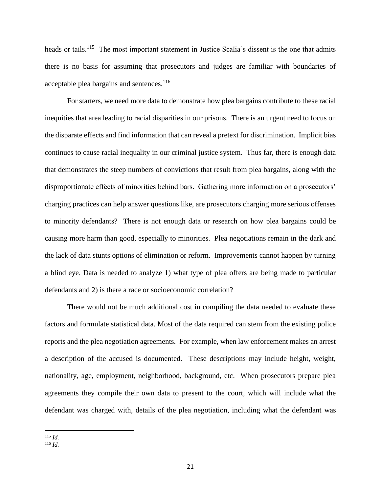heads or tails.<sup>115</sup> The most important statement in Justice Scalia's dissent is the one that admits there is no basis for assuming that prosecutors and judges are familiar with boundaries of acceptable plea bargains and sentences.<sup>116</sup>

For starters, we need more data to demonstrate how plea bargains contribute to these racial inequities that area leading to racial disparities in our prisons. There is an urgent need to focus on the disparate effects and find information that can reveal a pretext for discrimination. Implicit bias continues to cause racial inequality in our criminal justice system. Thus far, there is enough data that demonstrates the steep numbers of convictions that result from plea bargains, along with the disproportionate effects of minorities behind bars. Gathering more information on a prosecutors' charging practices can help answer questions like, are prosecutors charging more serious offenses to minority defendants? There is not enough data or research on how plea bargains could be causing more harm than good, especially to minorities. Plea negotiations remain in the dark and the lack of data stunts options of elimination or reform. Improvements cannot happen by turning a blind eye. Data is needed to analyze 1) what type of plea offers are being made to particular defendants and 2) is there a race or socioeconomic correlation?

There would not be much additional cost in compiling the data needed to evaluate these factors and formulate statistical data. Most of the data required can stem from the existing police reports and the plea negotiation agreements. For example, when law enforcement makes an arrest a description of the accused is documented. These descriptions may include height, weight, nationality, age, employment, neighborhood, background, etc. When prosecutors prepare plea agreements they compile their own data to present to the court, which will include what the defendant was charged with, details of the plea negotiation, including what the defendant was

<sup>115</sup> *Id.*

<sup>116</sup> *Id.*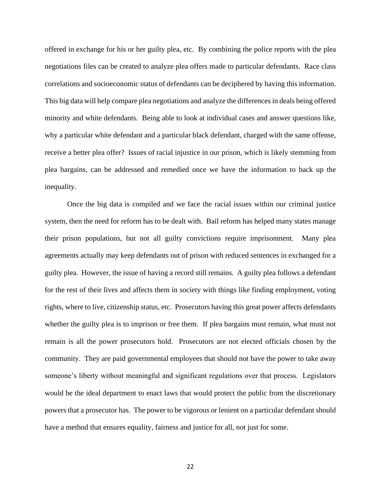offered in exchange for his or her guilty plea, etc. By combining the police reports with the plea negotiations files can be created to analyze plea offers made to particular defendants. Race class correlations and socioeconomic status of defendants can be deciphered by having this information. This big data will help compare plea negotiations and analyze the differences in deals being offered minority and white defendants. Being able to look at individual cases and answer questions like, why a particular white defendant and a particular black defendant, charged with the same offense, receive a better plea offer? Issues of racial injustice in our prison, which is likely stemming from plea bargains, can be addressed and remedied once we have the information to back up the inequality.

Once the big data is compiled and we face the racial issues within our criminal justice system, then the need for reform has to be dealt with. Bail reform has helped many states manage their prison populations, but not all guilty convictions require imprisonment. Many plea agreements actually may keep defendants out of prison with reduced sentences in exchanged for a guilty plea. However, the issue of having a record still remains. A guilty plea follows a defendant for the rest of their lives and affects them in society with things like finding employment, voting rights, where to live, citizenship status, etc. Prosecutors having this great power affects defendants whether the guilty plea is to imprison or free them. If plea bargains must remain, what must not remain is all the power prosecutors hold. Prosecutors are not elected officials chosen by the community. They are paid governmental employees that should not have the power to take away someone's liberty without meaningful and significant regulations over that process. Legislators would be the ideal department to enact laws that would protect the public from the discretionary powers that a prosecutor has. The power to be vigorous or lenient on a particular defendant should have a method that ensures equality, fairness and justice for all, not just for some.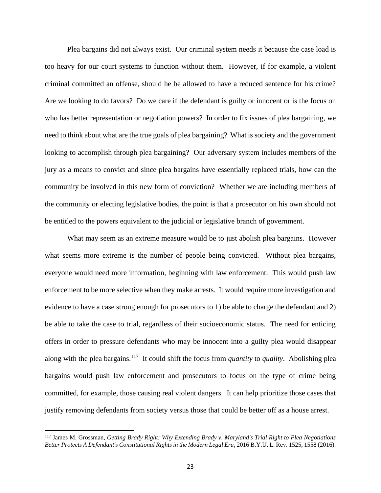Plea bargains did not always exist. Our criminal system needs it because the case load is too heavy for our court systems to function without them. However, if for example, a violent criminal committed an offense, should he be allowed to have a reduced sentence for his crime? Are we looking to do favors? Do we care if the defendant is guilty or innocent or is the focus on who has better representation or negotiation powers? In order to fix issues of plea bargaining, we need to think about what are the true goals of plea bargaining? What is society and the government looking to accomplish through plea bargaining? Our adversary system includes members of the jury as a means to convict and since plea bargains have essentially replaced trials, how can the community be involved in this new form of conviction? Whether we are including members of the community or electing legislative bodies, the point is that a prosecutor on his own should not be entitled to the powers equivalent to the judicial or legislative branch of government.

What may seem as an extreme measure would be to just abolish plea bargains. However what seems more extreme is the number of people being convicted. Without plea bargains, everyone would need more information, beginning with law enforcement. This would push law enforcement to be more selective when they make arrests. It would require more investigation and evidence to have a case strong enough for prosecutors to 1) be able to charge the defendant and 2) be able to take the case to trial, regardless of their socioeconomic status. The need for enticing offers in order to pressure defendants who may be innocent into a guilty plea would disappear along with the plea bargains.<sup>117</sup> It could shift the focus from *quantity* to *quality*. Abolishing plea bargains would push law enforcement and prosecutors to focus on the type of crime being committed, for example, those causing real violent dangers. It can help prioritize those cases that justify removing defendants from society versus those that could be better off as a house arrest.

<sup>117</sup> James M. Grossman, *Getting Brady Right: Why Extending Brady v. Maryland's Trial Right to Plea Negotiations Better Protects A Defendant's Constitutional Rights in the Modern Legal Era*, 2016 B.Y.U. L. Rev. 1525, 1558 (2016).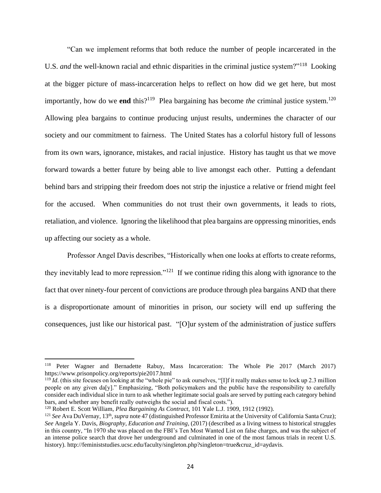"Can we implement [reforms](http://sentencingproject.org/doc/publications/rd_Black_Lives_Matter.pdf) that both reduce the number of people incarcerated in the U.S. *and* the well-known [racial and ethnic disparities](https://www.prisonpolicy.org/reports/rates.html) in the criminal justice system?"<sup>118</sup> Looking at the bigger picture of mass-incarceration helps to reflect on how did we get here, but most importantly, how do we **end** this?<sup>119</sup> Plea bargaining has become *the* criminal justice system.<sup>120</sup> Allowing plea bargains to continue producing unjust results, undermines the character of our society and our commitment to fairness. The United States has a colorful history full of lessons from its own wars, ignorance, mistakes, and racial injustice. History has taught us that we move forward towards a better future by being able to live amongst each other. Putting a defendant behind bars and stripping their freedom does not strip the injustice a relative or friend might feel for the accused. When communities do not trust their own governments, it leads to riots, retaliation, and violence. Ignoring the likelihood that plea bargains are oppressing minorities, ends up affecting our society as a whole.

Professor Angel Davis describes, "Historically when one looks at efforts to create reforms, they inevitably lead to more repression."<sup>121</sup> If we continue riding this along with ignorance to the fact that over ninety-four percent of convictions are produce through plea bargains AND that there is a disproportionate amount of minorities in prison, our society will end up suffering the consequences, just like our historical past. "[O]ur system of the administration of justice suffers

<sup>118</sup> Peter Wagner and Bernadette Rabuy, Mass Incarceration: The Whole Pie 2017 (March 2017) https://www.prisonpolicy.org/reports/pie2017.html

<sup>&</sup>lt;sup>119</sup> *Id.* (this site focuses on looking at the "whole pie" to ask ourselves, "[I]f it really makes sense to lock up 2.3 million people on any given da[y]." Emphasizing, "Both policymakers and the public have the responsibility to carefully consider each individual slice in turn to ask whether legitimate social goals are served by putting each category behind bars, and whether any benefit really outweighs the social and fiscal costs.").

<sup>120</sup> Robert E. Scott William, *Plea Bargaining As Contract*, 101 Yale L.J. 1909, 1912 (1992).

<sup>&</sup>lt;sup>121</sup> See Ava DuVernay, 13<sup>th</sup>, *supra* note 47 (distinguished Professor Emirita at the University of California Santa Cruz); *See* Angela Y. Davis, *Biography, Education and Training*, (2017) (described as a living witness to historical struggles in this country, "In 1970 she was placed on the FBI's Ten Most Wanted List on false charges, and was the subject of an intense police search that drove her underground and culminated in one of the most famous trials in recent U.S. history). http://feministstudies.ucsc.edu/faculty/singleton.php?singleton=true&cruz\_id=aydavis.